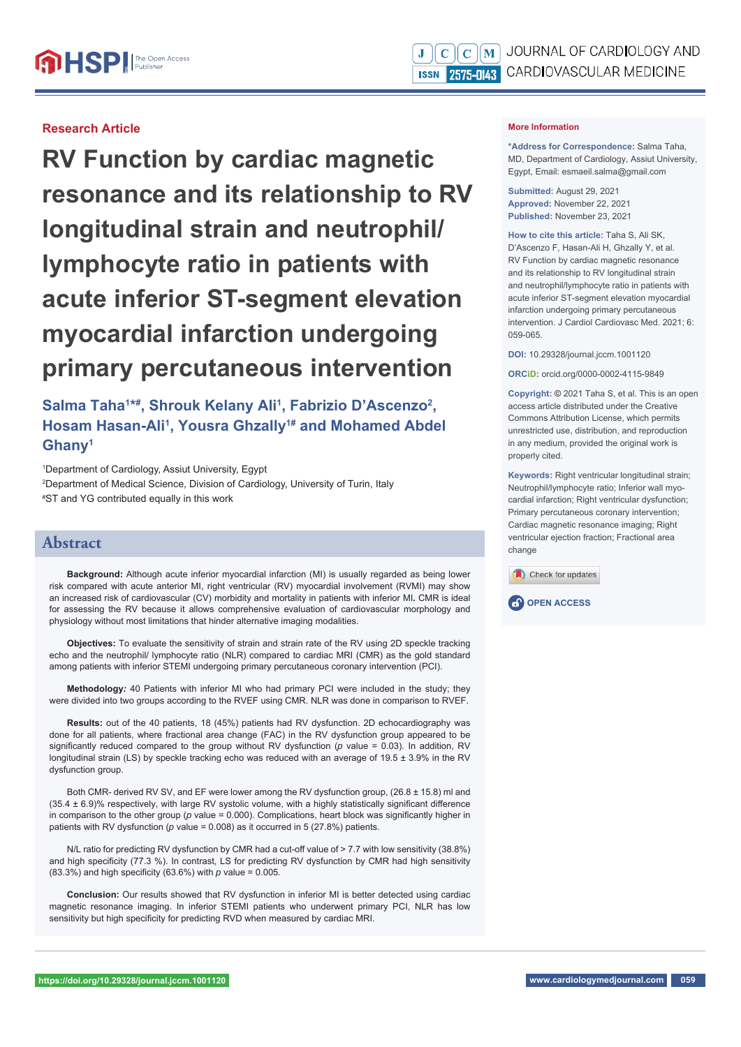#### **Research Article**

**RV Function by cardiac magnetic resonance and its relationship to RV longitudinal strain and neutrophil/ lymphocyte ratio in patients with acute inferior ST-segment elevation myocardial infarction undergoing primary percutaneous intervention**

Salma Taha<sup>1\*#</sup>, Shrouk Kelany Ali<sup>1</sup>, Fabrizio D'Ascenzo<sup>2</sup>, Hosam Hasan-Ali<sup>1</sup>, Yousra Ghzally<sup>1#</sup> and Mohamed Abdel **Ghany1**

1 Department of Cardiology, Assiut University, Egypt 2 Department of Medical Science, Division of Cardiology, University of Turin, Italy # ST and YG contributed equally in this work

### **Abstract**

**Background:** Although acute inferior myocardial infarction (MI) is usually regarded as being lower risk compared with acute anterior MI, right ventricular (RV) myocardial involvement (RVMI) may show an increased risk of cardiovascular (CV) morbidity and mortality in patients with inferior MI**.** CMR is ideal for assessing the RV because it allows comprehensive evaluation of cardiovascular morphology and physiology without most limitations that hinder alternative imaging modalities.

**Objectives:** To evaluate the sensitivity of strain and strain rate of the RV using 2D speckle tracking echo and the neutrophil/ lymphocyte ratio (NLR) compared to cardiac MRI (CMR) as the gold standard among patients with inferior STEMI undergoing primary percutaneous coronary intervention (PCI).

**Methodology***:* 40 Patients with inferior MI who had primary PCI were included in the study; they were divided into two groups according to the RVEF using CMR. NLR was done in comparison to RVEF.

**Results:** out of the 40 patients, 18 (45%) patients had RV dysfunction. 2D echocardiography was done for all patients, where fractional area change (FAC) in the RV dysfunction group appeared to be significantly reduced compared to the group without RV dysfunction (p value = 0.03). In addition, RV longitudinal strain (LS) by speckle tracking echo was reduced with an average of 19.5 ± 3.9% in the RV dysfunction group.

Both CMR- derived RV SV, and EF were lower among the RV dysfunction group, (26.8 ± 15.8) ml and  $(35.4 \pm 6.9)\%$  respectively, with large RV systolic volume, with a highly statistically significant difference in comparison to the other group (*p* value = 0.000). Complications, heart block was significantly higher in patients with RV dysfunction (*p* value = 0.008) as it occurred in 5 (27.8%) patients.

N/L ratio for predicting RV dysfunction by CMR had a cut-off value of > 7.7 with low sensitivity (38.8%) and high specificity (77.3 %). In contrast, LS for predicting RV dysfunction by CMR had high sensitivity (83.3%) and high specificity (63.6%) with  $p$  value = 0.005.

**Conclusion:** Our results showed that RV dysfunction in inferior MI is better detected using cardiac magnetic resonance imaging. In inferior STEMI patients who underwent primary PCI, NLR has low sensitivity but high specificity for predicting RVD when measured by cardiac MRI.

#### **More Information**

**\*Address for Correspondence:** Salma Taha, MD, Department of Cardiology, Assiut University, Egypt, Email: esmaeil.salma@gmail.com

**Submitted:** August 29, 2021 **Approved:** November 22, 2021 **Published:** November 23, 2021

**How to cite this article:** Taha S, Ali SK, D'Ascenzo F, Hasan-Ali H, Ghzally Y, et al. RV Function by cardiac magnetic resonance and its relationship to RV longitudinal strain and neutrophil/lymphocyte ratio in patients with acute inferior ST-segment elevation myocardial infarction undergoing primary percutaneous intervention. J Cardiol Cardiovasc Med. 2021; 6: 059-065.

**DOI:** 10.29328/journal.jccm.1001120

**ORCiD:** orcid.org/0000-0002-4115-9849

**Copyright: ©** 2021 Taha S, et al. This is an open access article distributed under the Creative Commons Attribution License, which permits unrestricted use, distribution, and reproduction in any medium, provided the original work is properly cited.

**Keywords:** Right ventricular longitudinal strain; Neutrophil/lymphocyte ratio; Inferior wall myocardial infarction; Right ventricular dysfunction; Primary percutaneous coronary intervention; Cardiac magnetic resonance imaging; Right ventricular ejection fraction; Fractional area change

Check for updates

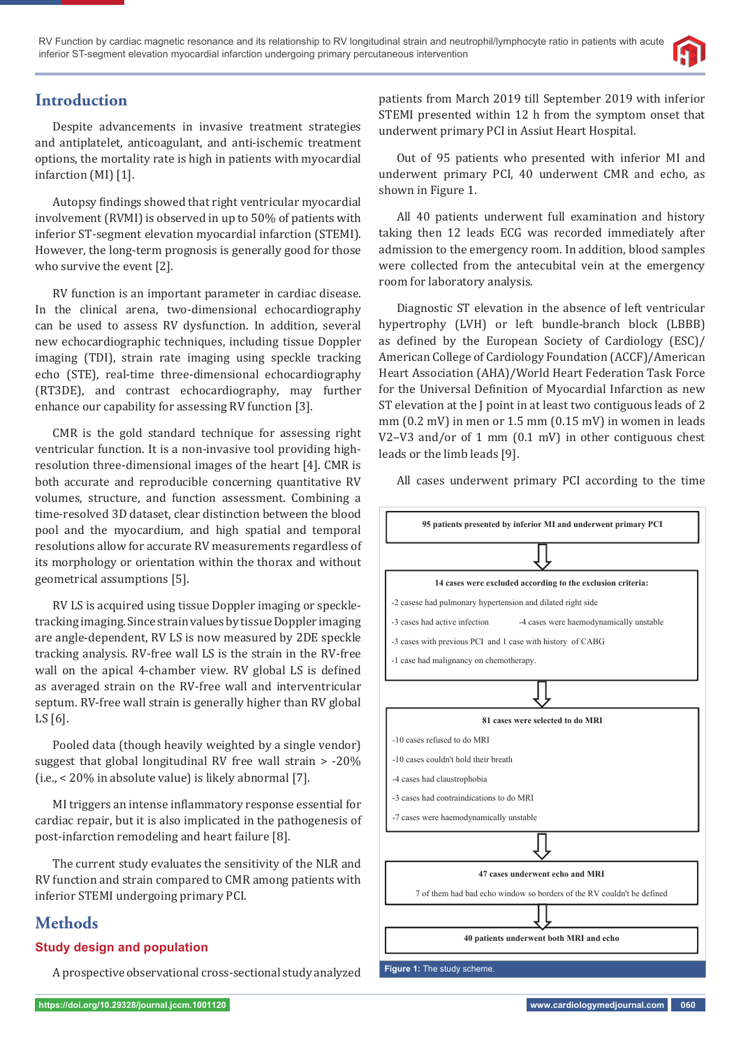

## **Introduction**

Despite advancements in invasive treatment strategies and antiplatelet, anticoagulant, and anti-ischemic treatment options, the mortality rate is high in patients with myocardial infarction (MI) [1].

Autopsy findings showed that right ventricular myocardial involvement (RVMI) is observed in up to 50% of patients with inferior ST-segment elevation myocardial infarction (STEMI). However, the long-term prognosis is generally good for those who survive the event [2].

RV function is an important parameter in cardiac disease. In the clinical arena, two-dimensional echocardiography can be used to assess RV dysfunction. In addition, several new echocardiographic techniques, including tissue Doppler imaging (TDI), strain rate imaging using speckle tracking echo (STE), real-time three-dimensional echocardiography (RT3DE), and contrast echocardiography, may further enhance our capability for assessing RV function [3].

CMR is the gold standard technique for assessing right ventricular function. It is a non-invasive tool providing highresolution three-dimensional images of the heart [4]. CMR is both accurate and reproducible concerning quantitative RV volumes, structure, and function assessment. Combining a time-resolved 3D dataset, clear distinction between the blood pool and the myocardium, and high spatial and temporal resolutions allow for accurate RV measurements regardless of its morphology or orientation within the thorax and without geometrical assumptions [5].

RV LS is acquired using tissue Doppler imaging or speckletracking imaging. Since strain values by tissue Doppler imaging are angle-dependent, RV LS is now measured by 2DE speckle tracking analysis. RV-free wall LS is the strain in the RV-free wall on the apical 4-chamber view. RV global LS is defined as averaged strain on the RV-free wall and interventricular septum. RV-free wall strain is generally higher than RV global LS [6].

Pooled data (though heavily weighted by a single vendor) suggest that global longitudinal RV free wall strain > -20% (i.e., < 20% in absolute value) is likely abnormal [7].

MI triggers an intense inflammatory response essential for cardiac repair, but it is also implicated in the pathogenesis of post-infarction remodeling and heart failure [8].

The current study evaluates the sensitivity of the NLR and RV function and strain compared to CMR among patients with inferior STEMI undergoing primary PCI.

## **Methods**

### **Study design and population**

A prospective observational cross-sectional study analyzed

patients from March 2019 till September 2019 with inferior STEMI presented within 12 h from the symptom onset that underwent primary PCI in Assiut Heart Hospital.

Out of 95 patients who presented with inferior MI and underwent primary PCI, 40 underwent CMR and echo, as shown in Figure 1.

All 40 patients underwent full examination and history taking then 12 leads ECG was recorded immediately after admission to the emergency room. In addition, blood samples were collected from the antecubital vein at the emergency room for laboratory analysis.

Diagnostic ST elevation in the absence of left ventricular hypertrophy (LVH) or left bundle-branch block (LBBB) as defined by the European Society of Cardiology (ESC)/ American College of Cardiology Foundation (ACCF)/American Heart Association (AHA)/World Heart Federation Task Force for the Universal Definition of Myocardial Infarction as new ST elevation at the J point in at least two contiguous leads of 2 mm (0.2 mV) in men or 1.5 mm (0.15 mV) in women in leads V2–V3 and/or of 1 mm (0.1 mV) in other contiguous chest leads or the limb leads [9].

All cases underwent primary PCI according to the time

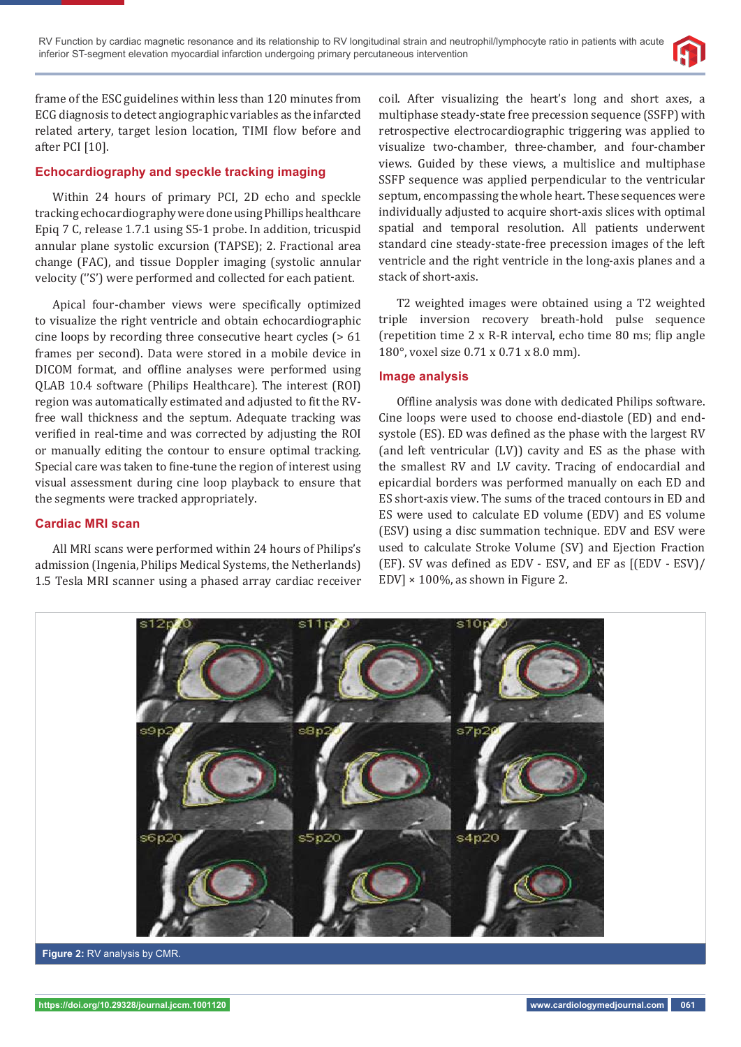

frame of the ESC guidelines within less than 120 minutes from ECG diagnosis to detect angiographic variables as the infarcted related artery, target lesion location, TIMI flow before and after PCI [10].

### **Echocardiography and speckle tracking imaging**

Within 24 hours of primary PCI, 2D echo and speckle tracking echocardiography were done using Phillips healthcare Epiq 7 C, release 1.7.1 using S5-1 probe. In addition, tricuspid annular plane systolic excursion (TAPSE); 2. Fractional area change (FAC), and tissue Doppler imaging (systolic annular velocity (''S') were performed and collected for each patient.

Apical four-chamber views were specifically optimized to visualize the right ventricle and obtain echocardiographic cine loops by recording three consecutive heart cycles (> 61 frames per second). Data were stored in a mobile device in DICOM format, and offline analyses were performed using QLAB 10.4 software (Philips Healthcare). The interest (ROI) region was automatically estimated and adjusted to fit the RVfree wall thickness and the septum. Adequate tracking was verified in real-time and was corrected by adjusting the ROI or manually editing the contour to ensure optimal tracking. Special care was taken to fine-tune the region of interest using visual assessment during cine loop playback to ensure that the segments were tracked appropriately.

#### **Cardiac MRI scan**

All MRI scans were performed within 24 hours of Philips's admission (Ingenia, Philips Medical Systems, the Netherlands) 1.5 Tesla MRI scanner using a phased array cardiac receiver

coil. After visualizing the heart's long and short axes, a multiphase steady-state free precession sequence (SSFP) with retrospective electrocardiographic triggering was applied to visualize two-chamber, three-chamber, and four-chamber views. Guided by these views, a multislice and multiphase SSFP sequence was applied perpendicular to the ventricular septum, encompassing the whole heart. These sequences were individually adjusted to acquire short-axis slices with optimal spatial and temporal resolution. All patients underwent standard cine steady-state-free precession images of the left ventricle and the right ventricle in the long-axis planes and a stack of short-axis.

T2 weighted images were obtained using a T2 weighted triple inversion recovery breath-hold pulse sequence (repetition time 2 x R-R interval, echo time 80 ms; flip angle 180°, voxel size 0.71 x 0.71 x 8.0 mm).

#### **Image analysis**

Offline analysis was done with dedicated Philips software. Cine loops were used to choose end-diastole (ED) and endsystole (ES). ED was defined as the phase with the largest RV (and left ventricular (LV)) cavity and ES as the phase with the smallest RV and LV cavity. Tracing of endocardial and epicardial borders was performed manually on each ED and ES short-axis view. The sums of the traced contours in ED and ES were used to calculate ED volume (EDV) and ES volume (ESV) using a disc summation technique. EDV and ESV were used to calculate Stroke Volume (SV) and Ejection Fraction (EF). SV was defined as EDV - ESV, and EF as  $[(EDV - ESV)/$ EDV]  $\times$  100%, as shown in Figure 2.



**Figure 2:** RV analysis by CMR.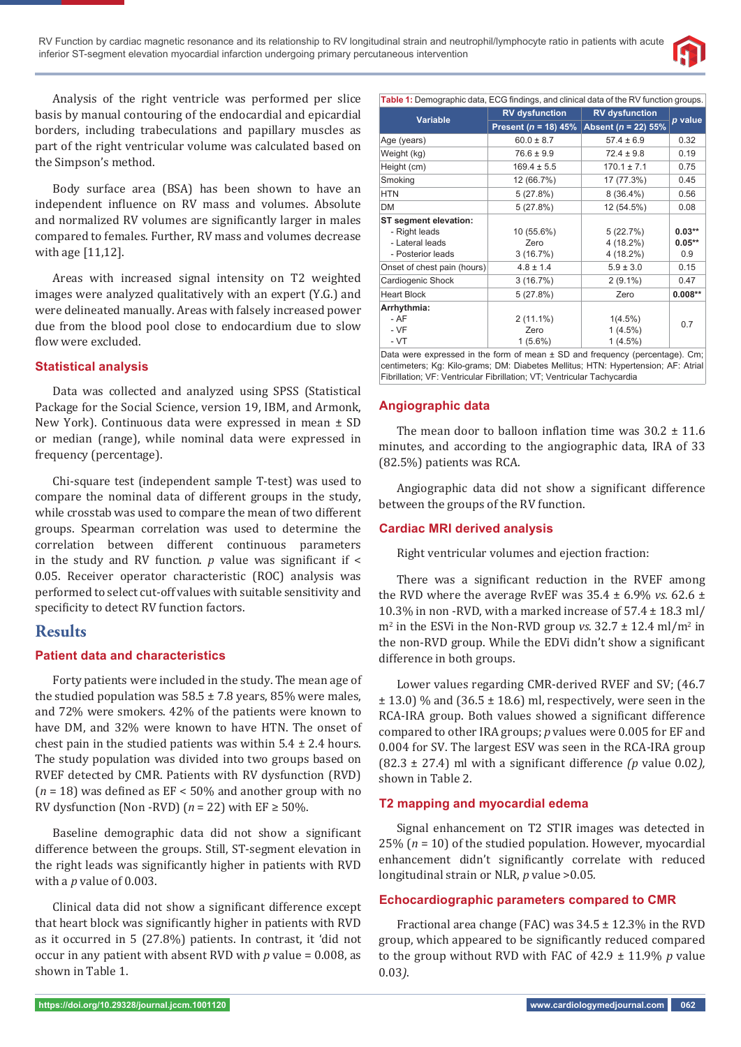

Analysis of the right ventricle was performed per slice basis by manual contouring of the endocardial and epicardial borders, including trabeculations and papillary muscles as part of the right ventricular volume was calculated based on the Simpson's method.

Body surface area (BSA) has been shown to have an independent influence on RV mass and volumes. Absolute and normalized RV volumes are significantly larger in males compared to females. Further, RV mass and volumes decrease with age [11,12].

Areas with increased signal intensity on T2 weighted images were analyzed qualitatively with an expert (Y.G.) and were delineated manually. Areas with falsely increased power due from the blood pool close to endocardium due to slow flow were excluded.

#### **Statistical analysis**

Data was collected and analyzed using SPSS (Statistical Package for the Social Science, version 19, IBM, and Armonk, New York). Continuous data were expressed in mean ± SD or median (range), while nominal data were expressed in frequency (percentage).

Chi-square test (independent sample T-test) was used to compare the nominal data of different groups in the study, while crosstab was used to compare the mean of two different groups. Spearman correlation was used to determine the correlation between different continuous parameters in the study and RV function.  $p$  value was significant if < 0.05. Receiver operator characteristic (ROC) analysis was performed to select cut-off values with suitable sensitivity and specificity to detect RV function factors.

### **Results**

#### **Patient data and characteristics**

Forty patients were included in the study. The mean age of the studied population was  $58.5 \pm 7.8$  years, 85% were males, and 72% were smokers. 42% of the patients were known to have DM, and 32% were known to have HTN. The onset of chest pain in the studied patients was within  $5.4 \pm 2.4$  hours. The study population was divided into two groups based on RVEF detected by CMR. Patients with RV dysfunction (RVD)  $(n = 18)$  was defined as  $EF < 50\%$  and another group with no RV dysfunction (Non -RVD) ( $n = 22$ ) with EF  $\geq 50\%$ .

Baseline demographic data did not show a significant difference between the groups. Still, ST-segment elevation in the right leads was significantly higher in patients with RVD with a *p* value of 0.003.

Clinical data did not show a significant difference except that heart block was significantly higher in patients with RVD as it occurred in 5 (27.8%) patients. In contrast, it 'did not occur in any patient with absent RVD with *p* value = 0.008, as shown in Table 1.

| Table 1: Demographic data, ECG findings, and clinical data of the RV function groups. |                          |                         |           |  |
|---------------------------------------------------------------------------------------|--------------------------|-------------------------|-----------|--|
| <b>Variable</b>                                                                       | <b>RV</b> dysfunction    | <b>RV</b> dysfunction   | p value   |  |
|                                                                                       | Present ( $n = 18$ ) 45% | Absent ( $n = 22$ ) 55% |           |  |
| Age (years)                                                                           | $60.0 \pm 8.7$           | $57.4 \pm 6.9$          | 0.32      |  |
| Weight (kg)                                                                           | $76.6 \pm 9.9$           | $72.4 \pm 9.8$          | 0.19      |  |
| Height (cm)                                                                           | $169.4 \pm 5.5$          | $170.1 \pm 7.1$         | 0.75      |  |
| Smoking                                                                               | 12 (66.7%)               | 17 (77.3%)              | 0.45      |  |
| <b>HTN</b>                                                                            | 5(27.8%)                 | 8 (36.4%)               | 0.56      |  |
| <b>DM</b>                                                                             | 5(27.8%)                 | 12 (54.5%)              | 0.08      |  |
| ST segment elevation:                                                                 |                          |                         |           |  |
| - Right leads                                                                         | 10 (55.6%)               | 5(22.7%)                | $0.03**$  |  |
| - Lateral leads                                                                       | Zero                     | 4 (18.2%)               | $0.05***$ |  |
| - Posterior leads                                                                     | 3(16.7%)                 | 4 (18.2%)               | 0.9       |  |
| Onset of chest pain (hours)                                                           | $4.8 \pm 1.4$            | $5.9 \pm 3.0$           | 0.15      |  |
| Cardiogenic Shock                                                                     | 3(16.7%)                 | $2(9.1\%)$              | 0.47      |  |
| <b>Heart Block</b>                                                                    | 5(27.8%)                 | Zero                    | $0.008**$ |  |
| Arrhythmia:                                                                           |                          |                         |           |  |
| $-AF$                                                                                 | $2(11.1\%)$              | $1(4.5\%)$              |           |  |
| $-VF$                                                                                 | Zero                     | $1(4.5\%)$              | 0.7       |  |
| $-VT$                                                                                 | $1(5.6\%)$               | $1(4.5\%)$              |           |  |
| Deta was avasaged in the farm of mean $\pm$ CD and from anough (normators). One       |                          |                         |           |  |

Data were expressed in the form of mean  $\pm$  SD and frequency (percentage). Cm; centimeters; Kg: Kilo-grams; DM: Diabetes Mellitus; HTN: Hypertension; AF: Atrial Fibrillation; VF: Ventricular Fibrillation; VT; Ventricular Tachycardia

#### **Angiographic data**

The mean door to balloon inflation time was  $30.2 \pm 11.6$ minutes, and according to the angiographic data, IRA of 33 (82.5%) patients was RCA.

Angiographic data did not show a significant difference between the groups of the RV function.

#### **Cardiac MRI derived analysis**

Right ventricular volumes and ejection fraction:

There was a significant reduction in the RVEF among the RVD where the average RvEF was  $35.4 \pm 6.9\%$  *vs.*  $62.6 \pm 1.5$ 10.3% in non -RVD, with a marked increase of 57.4 ± 18.3 ml/  $m<sup>2</sup>$  in the ESVi in the Non-RVD group *vs.*  $32.7 \pm 12.4$  ml/m<sup>2</sup> in the non-RVD group. While the EDVi didn't show a significant difference in both groups.

Lower values regarding CMR-derived RVEF and SV; (46.7  $\pm$  13.0) % and (36.5  $\pm$  18.6) ml, respectively, were seen in the RCA-IRA group. Both values showed a significant difference compared to other IRA groups; *p* values were 0.005 for EF and 0.004 for SV. The largest ESV was seen in the RCA-IRA group  $(82.3 \pm 27.4)$  ml with a significant difference *(p* value 0.02*)*, shown in Table 2.

#### **T2 mapping and myocardial edema**

Signal enhancement on T2 STIR images was detected in 25% (*n* = 10) of the studied population. However, myocardial enhancement didn't significantly correlate with reduced longitudinal strain or NLR, *p* value >0.05*.*

#### **Echocardiographic parameters compared to CMR**

Fractional area change (FAC) was 34.5 ± 12.3% in the RVD group, which appeared to be significantly reduced compared to the group without RVD with FAC of 42.9 ± 11.9% *p* value 0.03*)*.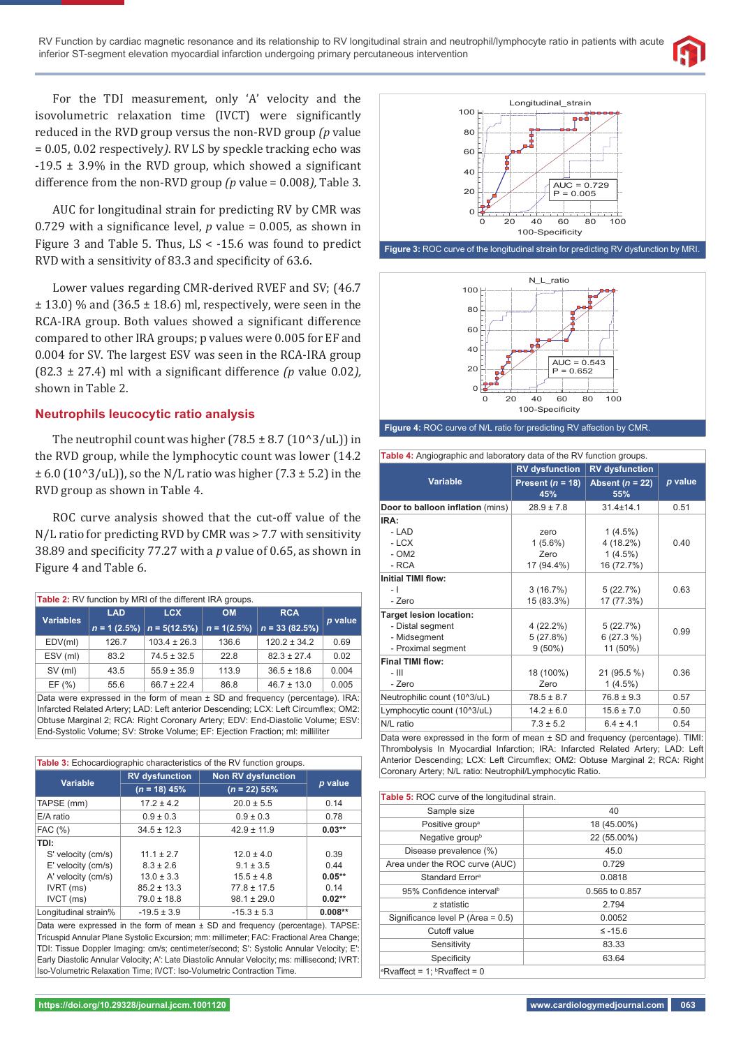

For the TDI measurement, only 'A' velocity and the isovolumetric relaxation time (IVCT) were significantly reduced in the RVD group versus the non-RVD group *(p* value = 0.05, 0.02 respectively*)*. RV LS by speckle tracking echo was  $-19.5 \pm 3.9\%$  in the RVD group, which showed a significant difference from the non-RVD group *(p* value = 0.008*),* Table 3.

AUC for longitudinal strain for predicting RV by CMR was 0.729 with a significance level,  $p$  value = 0.005, as shown in Figure 3 and Table 5. Thus, LS < -15.6 was found to predict RVD with a sensitivity of 83.3 and specificity of 63.6.

Lower values regarding CMR-derived RVEF and SV; (46.7  $\pm$  13.0) % and (36.5  $\pm$  18.6) ml, respectively, were seen in the RCA-IRA group. Both values showed a significant difference compared to other IRA groups; p values were 0.005 for EF and 0.004 for SV. The largest ESV was seen in the RCA-IRA group  $(82.3 \pm 27.4)$  ml with a significant difference *(p value 0.02)*, shown in Table 2.

#### **Neutrophils leucocytic ratio analysis**

The neutrophil count was higher  $(78.5 \pm 8.7 \,(10^{8}3/\text{uL}))$  in the RVD group, while the lymphocytic count was lower (14.2  $\pm$  6.0 (10^3/uL)), so the N/L ratio was higher (7.3  $\pm$  5.2) in the RVD group as shown in Table 4.

ROC curve analysis showed that the cut-off value of the N/L ratio for predicting RVD by CMR was > 7.7 with sensitivity 38.89 and specificity 77.27 with a *p* value of 0.65, as shown in Figure 4 and Table 6.

| Table 2: RV function by MRI of the different IRA groups.                            |                |                  |               |                  |         |
|-------------------------------------------------------------------------------------|----------------|------------------|---------------|------------------|---------|
| <b>Variables</b>                                                                    | <b>LAD</b>     | <b>LCX</b>       | <b>OM</b>     | <b>RCA</b>       | p value |
|                                                                                     | $n = 1$ (2.5%) | $n = 5(12.5\%)$  | $n = 1(2.5%)$ | $n = 33(82.5%)$  |         |
| EDV(ml)                                                                             | 126.7          | $103.4 \pm 26.3$ | 136.6         | $120.2 \pm 34.2$ | 0.69    |
| ESV (ml)                                                                            | 83.2           | $74.5 \pm 32.5$  | 22.8          | $82.3 \pm 27.4$  | 0.02    |
| $SV$ (ml)                                                                           | 43.5           | $55.9 \pm 35.9$  | 113.9         | $36.5 \pm 18.6$  | 0.004   |
| EF(%)                                                                               | 55.6           | $66.7 \pm 22.4$  | 86.8          | $46.7 \pm 13.0$  | 0.005   |
| Data were expressed in the form of mean $\pm$ SD and frequency (percentage). IRA:   |                |                  |               |                  |         |
| Infarcted Related Artery; LAD: Left anterior Descending; LCX: Left Circumflex; OM2: |                |                  |               |                  |         |
| Obtuse Marginal 2; RCA: Right Coronary Artery; EDV: End-Diastolic Volume; ESV:      |                |                  |               |                  |         |
| End-Systolic Volume: SV: Stroke Volume: EF: Ejection Fraction: ml: milliliter       |                |                  |               |                  |         |

| <b>Table 3:</b> Echocardiographic characteristics of the RV function groups. |                       |                           |           |  |
|------------------------------------------------------------------------------|-----------------------|---------------------------|-----------|--|
| Variable                                                                     | <b>RV</b> dysfunction | <b>Non RV dysfunction</b> | p value   |  |
|                                                                              | $(n = 18) 45%$        | $(n = 22) 55%$            |           |  |
| TAPSE (mm)                                                                   | $17.2 \pm 4.2$        | $20.0 \pm 5.5$            | 0.14      |  |
| E/A ratio                                                                    | $0.9 \pm 0.3$         | $0.9 \pm 0.3$             | 0.78      |  |
| FAC (%)                                                                      | $34.5 \pm 12.3$       | $42.9 \pm 11.9$           | $0.03**$  |  |
| TDI:                                                                         |                       |                           |           |  |
| S' velocity (cm/s)                                                           | $11.1 \pm 2.7$        | $12.0 \pm 4.0$            | 0.39      |  |
| E' velocity (cm/s)                                                           | $8.3 \pm 2.6$         | $9.1 \pm 3.5$             | 0.44      |  |
| A' velocity (cm/s)                                                           | $13.0 \pm 3.3$        | $15.5 \pm 4.8$            | $0.05***$ |  |
| IVRT (ms)                                                                    | $85.2 \pm 13.3$       | $77.8 \pm 17.5$           | 0.14      |  |
| IVCT (ms)                                                                    | $79.0 \pm 18.8$       | $98.1 \pm 29.0$           | $0.02**$  |  |
| Longitudinal strain%                                                         | $-19.5 \pm 3.9$       | $-15.3 \pm 5.3$           | $0.008**$ |  |

Data were expressed in the form of mean + SD and frequency (percentage). TAPSE: Tricuspid Annular Plane Systolic Excursion; mm: millimeter; FAC: Fractional Area Change; TDI: Tissue Doppler Imaging: cm/s; centimeter/second; S': Systolic Annular Velocity; E': Early Diastolic Annular Velocity; A': Late Diastolic Annular Velocity; ms: millisecond; IVRT: Iso-Volumetric Relaxation Time; IVCT: Iso-Volumetric Contraction Time.





Figure 4: ROC curve of N/L ratio for predicting RV affection by CMR.

| Table 4: Angiographic and laboratory data of the RV function groups.                                                                                                                                                                                   |                             |                            |         |
|--------------------------------------------------------------------------------------------------------------------------------------------------------------------------------------------------------------------------------------------------------|-----------------------------|----------------------------|---------|
|                                                                                                                                                                                                                                                        | <b>RV</b> dysfunction       | <b>RV</b> dysfunction      |         |
| <b>Variable</b>                                                                                                                                                                                                                                        | Present ( $n = 18$ )<br>45% | Absent ( $n = 22$ )<br>55% | p value |
| Door to balloon inflation (mins)                                                                                                                                                                                                                       | $28.9 \pm 7.8$              | $31.4 \pm 14.1$            | 0.51    |
| IRA:                                                                                                                                                                                                                                                   |                             |                            |         |
| - LAD                                                                                                                                                                                                                                                  | zero                        | $1(4.5\%)$                 |         |
| - LCX                                                                                                                                                                                                                                                  | $1(5.6\%)$                  | 4 (18.2%)                  | 0.40    |
| $-OM2$                                                                                                                                                                                                                                                 | Zero                        | $1(4.5\%)$                 |         |
| $-RCA$                                                                                                                                                                                                                                                 | 17 (94.4%)                  | 16 (72.7%)                 |         |
| Initial TIMI flow:                                                                                                                                                                                                                                     |                             |                            |         |
| - 1                                                                                                                                                                                                                                                    | 3(16.7%)                    | 5(22.7%)                   | 0.63    |
| - Zero                                                                                                                                                                                                                                                 | 15 (83.3%)                  | 17 (77.3%)                 |         |
| <b>Target lesion location:</b>                                                                                                                                                                                                                         |                             |                            |         |
| - Distal segment                                                                                                                                                                                                                                       | 4 (22.2%)                   | 5(22.7%)                   | 0.99    |
| - Midsegment                                                                                                                                                                                                                                           | 5(27.8%)                    | 6(27.3%)                   |         |
| - Proximal segment                                                                                                                                                                                                                                     | $9(50\%)$                   | 11 (50%)                   |         |
| Final TIMI flow:                                                                                                                                                                                                                                       |                             |                            |         |
| - 111                                                                                                                                                                                                                                                  | 18 (100%)                   | 21 (95.5 %)                | 0.36    |
| - Zero                                                                                                                                                                                                                                                 | Zero                        | $1(4.5\%)$                 |         |
| Neutrophilic count (10^3/uL)                                                                                                                                                                                                                           | $78.5 \pm 8.7$              | $76.8 \pm 9.3$             | 0.57    |
| Lymphocytic count (10^3/uL)                                                                                                                                                                                                                            | $14.2 \pm 6.0$              | $15.6 \pm 7.0$             | 0.50    |
| N/L ratio                                                                                                                                                                                                                                              | $7.3 \pm 5.2$               | $6.4 \pm 4.1$              | 0.54    |
| Data were expressed in the form of mean $\pm$ SD and frequency (percentage). TIMI:<br>Thrombolysis In Myocardial Infarction; IRA: Infarcted Related Artery; LAD: Left<br>Anterior Descending; LCX: Left Circumflex; OM2: Obtuse Marginal 2; RCA: Right |                             |                            |         |

Coronary Artery; N/L ratio: Neutrophil/Lymphocytic Ratio. **Table 5:** ROC curve of the longitudinal strain. Sample size 40 Positive group<sup>a</sup> 18 (45.00%) Negative group<sup>b</sup> and the 22 (55.00%) Disease prevalence (%)  $\vert$  45.0 Area under the ROC curve (AUC) 0.729 Standard Error<sup>a</sup> and 100818 95% Confidence interval<sup>t</sup> 0.565 to 0.857 z statistic 2.794 Significance level P (Area =  $0.5$ ) 0.0052 Cutoff value  $\leq -15.6$ Sensitivity 83.33 Specificity 63.64

 ${}^{\circ}$ Rvaffect = 1;  ${}^{\circ}$ Rvaffect = 0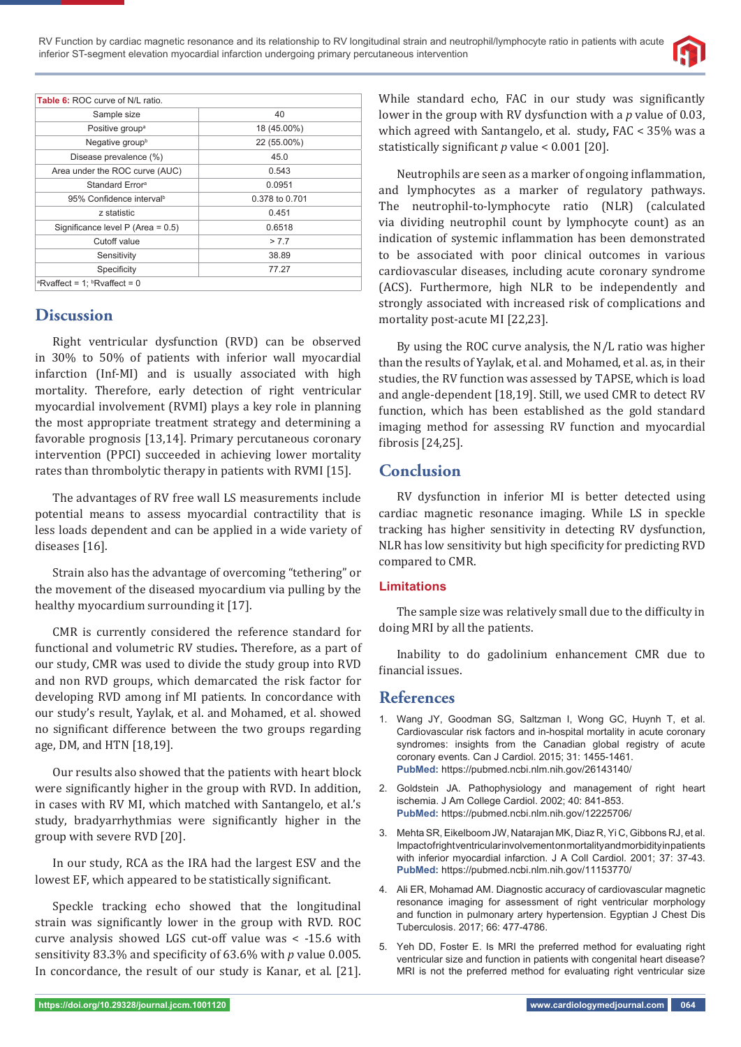

| <b>Table 6: ROC curve of N/L ratio.</b>               |                |
|-------------------------------------------------------|----------------|
| Sample size                                           | 40             |
| Positive group <sup>a</sup>                           | 18 (45.00%)    |
| Negative group <sup>b</sup>                           | 22 (55.00%)    |
| Disease prevalence (%)                                | 45.0           |
| Area under the ROC curve (AUC)                        | 0.543          |
| Standard Error <sup>a</sup>                           | 0.0951         |
| 95% Confidence interval <sup>b</sup>                  | 0.378 to 0.701 |
| z statistic                                           | 0.451          |
| Significance level $P$ (Area = 0.5)                   | 0.6518         |
| Cutoff value                                          | > 7.7          |
| Sensitivity                                           | 38.89          |
| Specificity                                           | 77.27          |
| <sup>a</sup> Rvaffect = 1; $\frac{b}{c}$ Rvaffect = 0 |                |

## **Discussion**

Right ventricular dysfunction (RVD) can be observed in 30% to 50% of patients with inferior wall myocardial infarction (Inf-MI) and is usually associated with high mortality. Therefore, early detection of right ventricular myocardial involvement (RVMI) plays a key role in planning the most appropriate treatment strategy and determining a favorable prognosis [13,14]. Primary percutaneous coronary intervention (PPCI) succeeded in achieving lower mortality rates than thrombolytic therapy in patients with RVMI [15].

The advantages of RV free wall LS measurements include potential means to assess myocardial contractility that is less loads dependent and can be applied in a wide variety of diseases [16].

Strain also has the advantage of overcoming "tethering" or the movement of the diseased myocardium via pulling by the healthy myocardium surrounding it [17].

CMR is currently considered the reference standard for functional and volumetric RV studies**.** Therefore, as a part of our study, CMR was used to divide the study group into RVD and non RVD groups, which demarcated the risk factor for developing RVD among inf MI patients. In concordance with our study's result, Yaylak, et al. and Mohamed, et al. showed no significant difference between the two groups regarding age, DM, and HTN [18,19].

Our results also showed that the patients with heart block were significantly higher in the group with RVD. In addition, in cases with RV MI, which matched with Santangelo, et al.'s study, bradyarrhythmias were significantly higher in the group with severe RVD [20].

In our study, RCA as the IRA had the largest ESV and the lowest EF, which appeared to be statistically significant.

Speckle tracking echo showed that the longitudinal strain was significantly lower in the group with RVD. ROC curve analysis showed LGS cut-off value was < -15.6 with sensitivity 83.3% and specificity of 63.6% with *p* value 0.005. In concordance, the result of our study is Kanar, et al. [21]. While standard echo, FAC in our study was significantly lower in the group with RV dysfunction with a *p* value of 0.03, which agreed with Santangelo, et al. study*,* FAC < 35% was a statistically significant  $p$  value < 0.001 [20].

Neutrophils are seen as a marker of ongoing inflammation, and lymphocytes as a marker of regulatory pathways. The neutrophil-to-lymphocyte ratio (NLR) (calculated via dividing neutrophil count by lymphocyte count) as an indication of systemic inflammation has been demonstrated to be associated with poor clinical outcomes in various cardiovascular diseases, including acute coronary syndrome (ACS). Furthermore, high NLR to be independently and strongly associated with increased risk of complications and mortality post-acute MI [22,23].

By using the ROC curve analysis, the N/L ratio was higher than the results of Yaylak, et al. and Mohamed, et al. as, in their studies, the RV function was assessed by TAPSE, which is load and angle-dependent [18,19]. Still, we used CMR to detect RV function, which has been established as the gold standard imaging method for assessing RV function and myocardial fibrosis [24,25].

# **Conclusion**

RV dysfunction in inferior MI is better detected using cardiac magnetic resonance imaging. While LS in speckle tracking has higher sensitivity in detecting RV dysfunction, NLR has low sensitivity but high specificity for predicting RVD compared to CMR.

### **Limitations**

The sample size was relatively small due to the difficulty in doing MRI by all the patients.

Inability to do gadolinium enhancement CMR due to financial issues.

### **References**

- 1. Wang JY, Goodman SG, Saltzman I, Wong GC, Huynh T, et al. Cardiovascular risk factors and in-hospital mortality in acute coronary syndromes: insights from the Canadian global registry of acute coronary events. Can J Cardiol. 2015; 31: 1455-1461. **PubMed:** https://pubmed.ncbi.nlm.nih.gov/26143140/
- 2. Goldstein JA. Pathophysiology and management of right heart ischemia. J Am College Cardiol. 2002; 40: 841-853. **PubMed:** https://pubmed.ncbi.nlm.nih.gov/12225706/
- 3. Mehta SR, Eikelboom JW, Natarajan MK, Diaz R, Yi C, Gibbons RJ, et al. Impact of right ventricular involvement on mortality and morbidity in patients with inferior myocardial infarction. J A Coll Cardiol. 2001; 37: 37-43. **PubMed:** https://pubmed.ncbi.nlm.nih.gov/11153770/
- 4. Ali ER, Mohamad AM. Diagnostic accuracy of cardiovascular magnetic resonance imaging for assessment of right ventricular morphology and function in pulmonary artery hypertension. Egyptian J Chest Dis Tuberculosis. 2017; 66: 477-4786.
- 5. Yeh DD, Foster E. Is MRI the preferred method for evaluating right ventricular size and function in patients with congenital heart disease? MRI is not the preferred method for evaluating right ventricular size